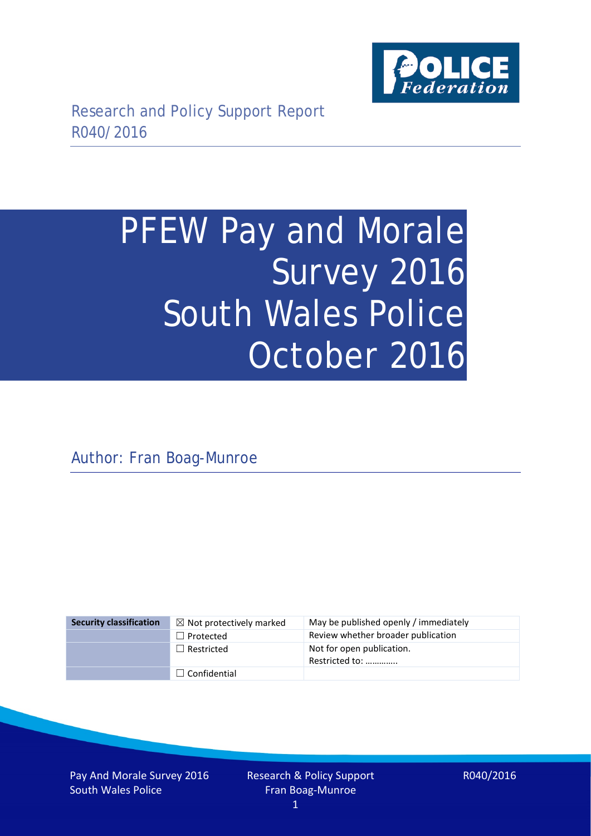

# PFEW Pay and Morale Survey 2016 South Wales Police October 2016

Author: Fran Boag-Munroe

| <b>Security classification</b> | $\boxtimes$ Not protectively marked | May be published openly / immediately       |
|--------------------------------|-------------------------------------|---------------------------------------------|
|                                | $\Box$ Protected                    | Review whether broader publication          |
|                                | $\Box$ Restricted                   | Not for open publication.<br>Restricted to: |
|                                | $\Box$ Confidential                 |                                             |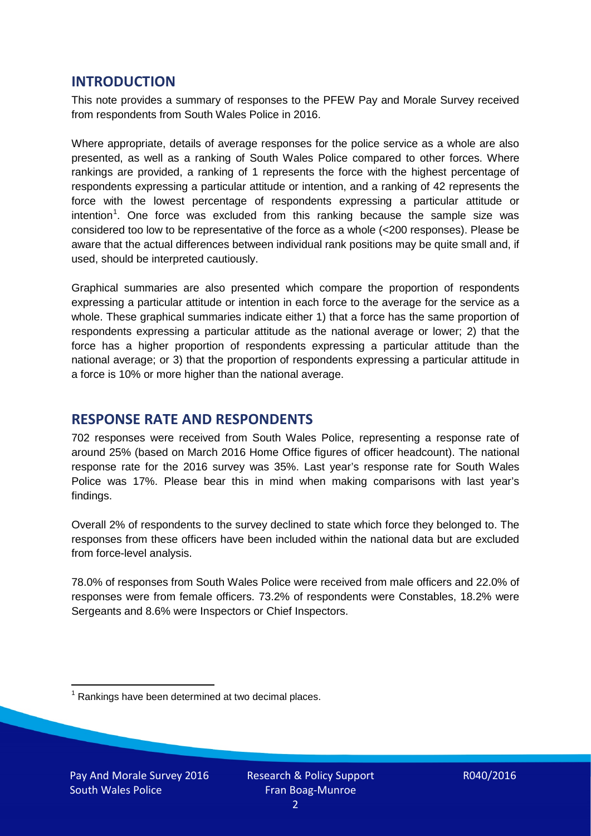## **INTRODUCTION**

This note provides a summary of responses to the PFEW Pay and Morale Survey received from respondents from South Wales Police in 2016.

Where appropriate, details of average responses for the police service as a whole are also presented, as well as a ranking of South Wales Police compared to other forces. Where rankings are provided, a ranking of 1 represents the force with the highest percentage of respondents expressing a particular attitude or intention, and a ranking of 42 represents the force with the lowest percentage of respondents expressing a particular attitude or intention<sup>[1](#page-1-0)</sup>. One force was excluded from this ranking because the sample size was considered too low to be representative of the force as a whole (<200 responses). Please be aware that the actual differences between individual rank positions may be quite small and, if used, should be interpreted cautiously.

Graphical summaries are also presented which compare the proportion of respondents expressing a particular attitude or intention in each force to the average for the service as a whole. These graphical summaries indicate either 1) that a force has the same proportion of respondents expressing a particular attitude as the national average or lower; 2) that the force has a higher proportion of respondents expressing a particular attitude than the national average; or 3) that the proportion of respondents expressing a particular attitude in a force is 10% or more higher than the national average.

# **RESPONSE RATE AND RESPONDENTS**

702 responses were received from South Wales Police, representing a response rate of around 25% (based on March 2016 Home Office figures of officer headcount). The national response rate for the 2016 survey was 35%. Last year's response rate for South Wales Police was 17%. Please bear this in mind when making comparisons with last year's findings.

Overall 2% of respondents to the survey declined to state which force they belonged to. The responses from these officers have been included within the national data but are excluded from force-level analysis.

78.0% of responses from South Wales Police were received from male officers and 22.0% of responses were from female officers. 73.2% of respondents were Constables, 18.2% were Sergeants and 8.6% were Inspectors or Chief Inspectors.

<span id="page-1-0"></span> $1$  Rankings have been determined at two decimal places.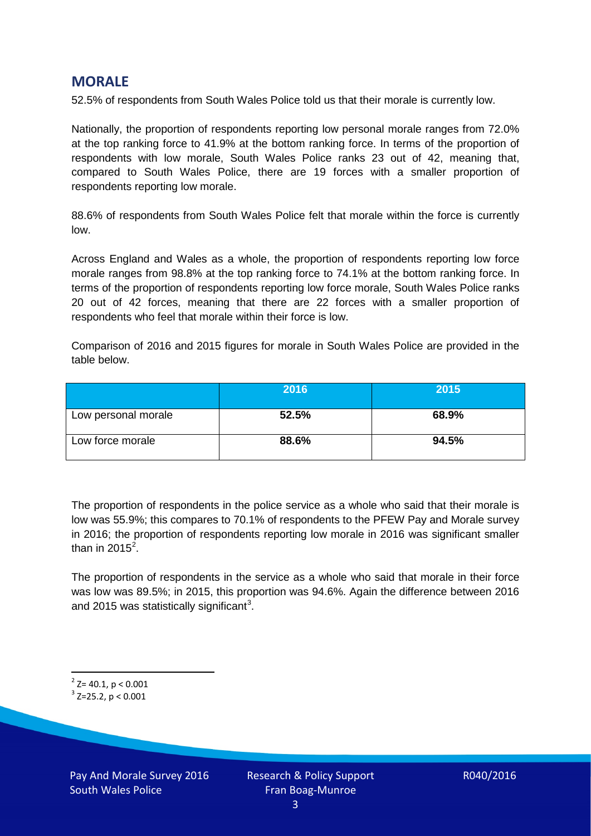## **MORALE**

52.5% of respondents from South Wales Police told us that their morale is currently low.

Nationally, the proportion of respondents reporting low personal morale ranges from 72.0% at the top ranking force to 41.9% at the bottom ranking force. In terms of the proportion of respondents with low morale, South Wales Police ranks 23 out of 42, meaning that, compared to South Wales Police, there are 19 forces with a smaller proportion of respondents reporting low morale.

88.6% of respondents from South Wales Police felt that morale within the force is currently low.

Across England and Wales as a whole, the proportion of respondents reporting low force morale ranges from 98.8% at the top ranking force to 74.1% at the bottom ranking force. In terms of the proportion of respondents reporting low force morale, South Wales Police ranks 20 out of 42 forces, meaning that there are 22 forces with a smaller proportion of respondents who feel that morale within their force is low.

Comparison of 2016 and 2015 figures for morale in South Wales Police are provided in the table below.

|                     | 2016  | 2015  |
|---------------------|-------|-------|
| Low personal morale | 52.5% | 68.9% |
| Low force morale    | 88.6% | 94.5% |

The proportion of respondents in the police service as a whole who said that their morale is low was 55.9%; this compares to 70.1% of respondents to the PFEW Pay and Morale survey in 2016; the proportion of respondents reporting low morale in 2016 was significant smaller than in [2](#page-2-0)015 $^2$ .

The proportion of respondents in the service as a whole who said that morale in their force was low was 89.5%; in 2015, this proportion was 94.6%. Again the difference between 2016 and 2015 was statistically significant<sup>[3](#page-2-1)</sup>.

<span id="page-2-0"></span> $2$ <sup>2</sup> Z= 40.1, p < 0.001

<span id="page-2-1"></span> $3$  Z=25.2, p < 0.001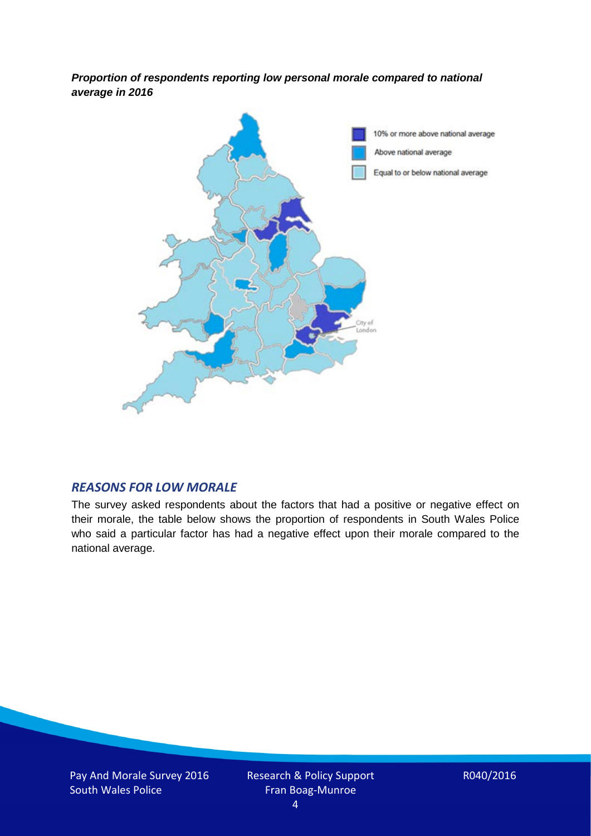*Proportion of respondents reporting low personal morale compared to national average in 2016*



#### *REASONS FOR LOW MORALE*

The survey asked respondents about the factors that had a positive or negative effect on their morale, the table below shows the proportion of respondents in South Wales Police who said a particular factor has had a negative effect upon their morale compared to the national average.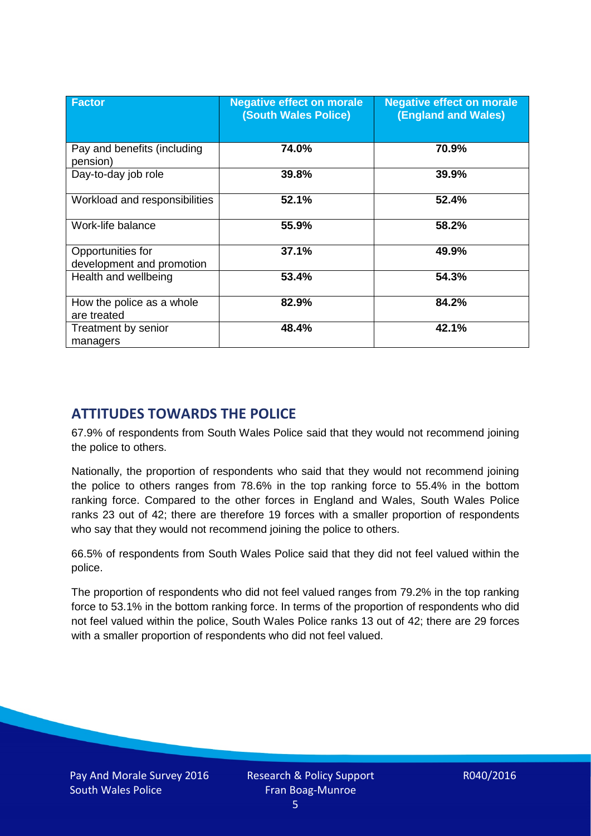| <b>Factor</b>                                  | <b>Negative effect on morale</b><br><b>(South Wales Police)</b> | <b>Negative effect on morale</b><br><b>(England and Wales)</b> |
|------------------------------------------------|-----------------------------------------------------------------|----------------------------------------------------------------|
| Pay and benefits (including<br>pension)        | 74.0%                                                           | 70.9%                                                          |
| Day-to-day job role                            | 39.8%                                                           | 39.9%                                                          |
| Workload and responsibilities                  | 52.1%                                                           | 52.4%                                                          |
| Work-life balance                              | 55.9%                                                           | 58.2%                                                          |
| Opportunities for<br>development and promotion | 37.1%                                                           | 49.9%                                                          |
| Health and wellbeing                           | 53.4%                                                           | 54.3%                                                          |
| How the police as a whole<br>are treated       | 82.9%                                                           | 84.2%                                                          |
| Treatment by senior<br>managers                | 48.4%                                                           | 42.1%                                                          |

# **ATTITUDES TOWARDS THE POLICE**

67.9% of respondents from South Wales Police said that they would not recommend joining the police to others.

Nationally, the proportion of respondents who said that they would not recommend joining the police to others ranges from 78.6% in the top ranking force to 55.4% in the bottom ranking force. Compared to the other forces in England and Wales, South Wales Police ranks 23 out of 42; there are therefore 19 forces with a smaller proportion of respondents who say that they would not recommend joining the police to others.

66.5% of respondents from South Wales Police said that they did not feel valued within the police.

The proportion of respondents who did not feel valued ranges from 79.2% in the top ranking force to 53.1% in the bottom ranking force. In terms of the proportion of respondents who did not feel valued within the police, South Wales Police ranks 13 out of 42; there are 29 forces with a smaller proportion of respondents who did not feel valued.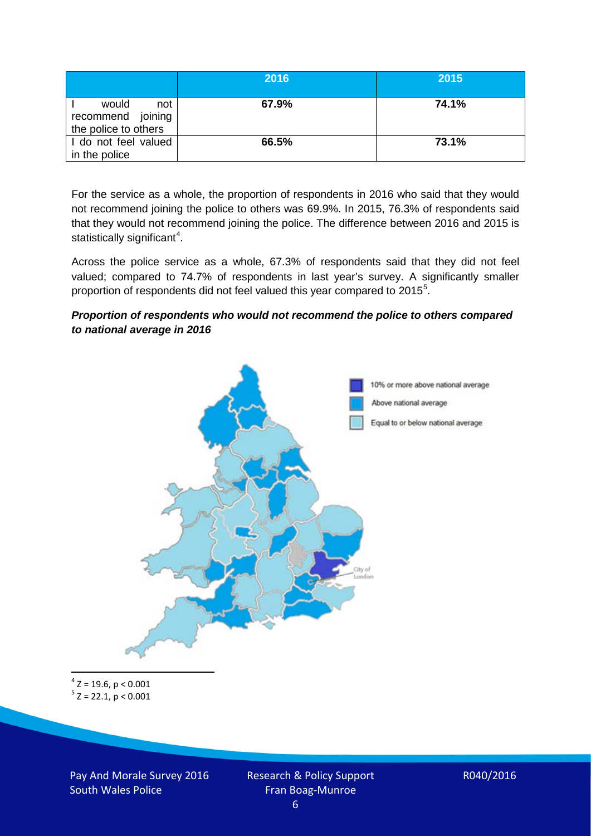|                                                           | 2016  | 2015  |
|-----------------------------------------------------------|-------|-------|
| would<br>not<br>recommend joining<br>the police to others | 67.9% | 74.1% |
| I do not feel valued<br>in the police                     | 66.5% | 73.1% |

For the service as a whole, the proportion of respondents in 2016 who said that they would not recommend joining the police to others was 69.9%. In 2015, 76.3% of respondents said that they would not recommend joining the police. The difference between 2016 and 2015 is statistically significant<sup>[4](#page-5-0)</sup>.

Across the police service as a whole, 67.3% of respondents said that they did not feel valued; compared to 74.7% of respondents in last year's survey. A significantly smaller proportion of respondents did not feel valued this year compared to 201[5](#page-5-1)<sup>5</sup>.

#### *Proportion of respondents who would not recommend the police to others compared to national average in 2016*



<span id="page-5-1"></span><span id="page-5-0"></span> $4$  Z = 19.6, p < 0.001  $5$  Z = 22.1, p < 0.001

Pay And Morale Survey 2016 South Wales Police

Research & Policy Support Fran Boag-Munroe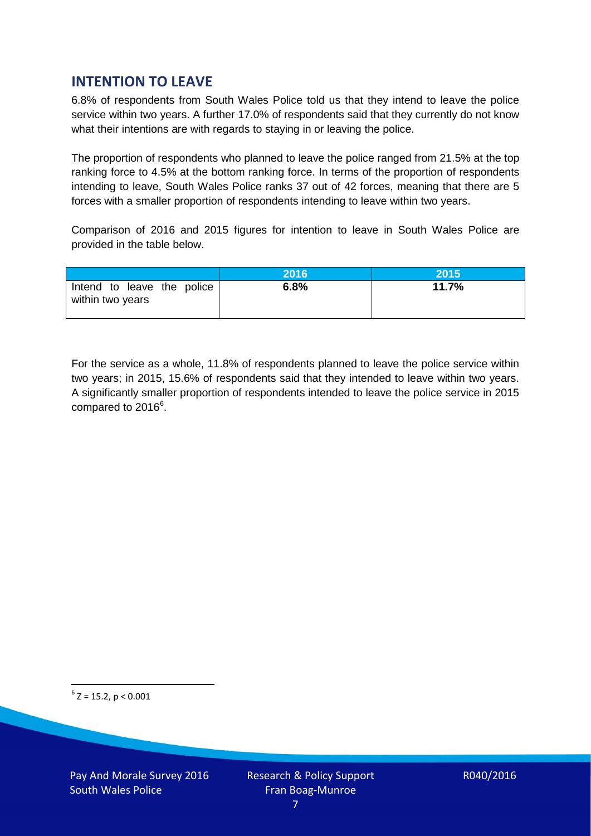# **INTENTION TO LEAVE**

6.8% of respondents from South Wales Police told us that they intend to leave the police service within two years. A further 17.0% of respondents said that they currently do not know what their intentions are with regards to staying in or leaving the police.

The proportion of respondents who planned to leave the police ranged from 21.5% at the top ranking force to 4.5% at the bottom ranking force. In terms of the proportion of respondents intending to leave, South Wales Police ranks 37 out of 42 forces, meaning that there are 5 forces with a smaller proportion of respondents intending to leave within two years.

Comparison of 2016 and 2015 figures for intention to leave in South Wales Police are provided in the table below.

|                                                | 2016 | 2015' |
|------------------------------------------------|------|-------|
| Intend to leave the police<br>within two years | 6.8% | 11.7% |

For the service as a whole, 11.8% of respondents planned to leave the police service within two years; in 2015, 15.6% of respondents said that they intended to leave within two years. A significantly smaller proportion of respondents intended to leave the police service in 2015 compared to 201[6](#page-6-0)<sup>6</sup>.

<span id="page-6-0"></span> $6$  Z = 15.2, p < 0.001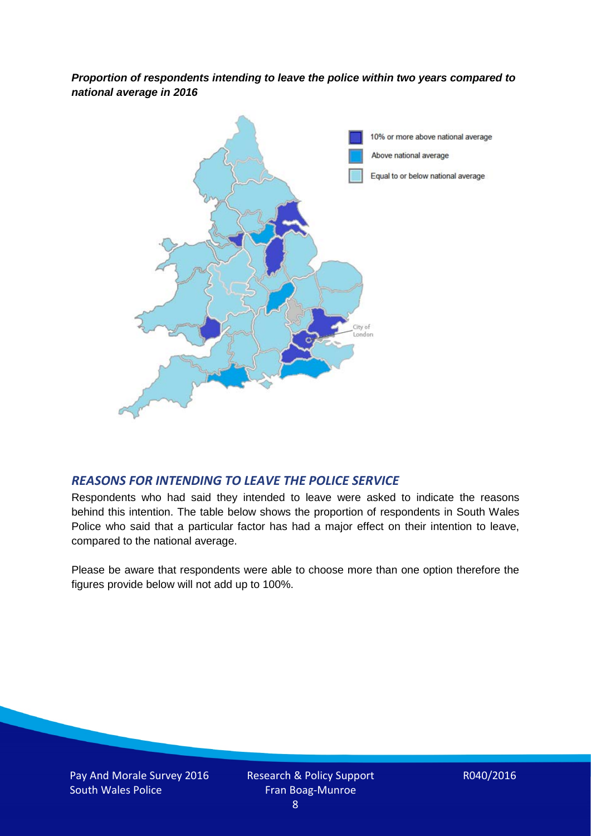*Proportion of respondents intending to leave the police within two years compared to national average in 2016*



#### *REASONS FOR INTENDING TO LEAVE THE POLICE SERVICE*

Respondents who had said they intended to leave were asked to indicate the reasons behind this intention. The table below shows the proportion of respondents in South Wales Police who said that a particular factor has had a major effect on their intention to leave, compared to the national average.

Please be aware that respondents were able to choose more than one option therefore the figures provide below will not add up to 100%.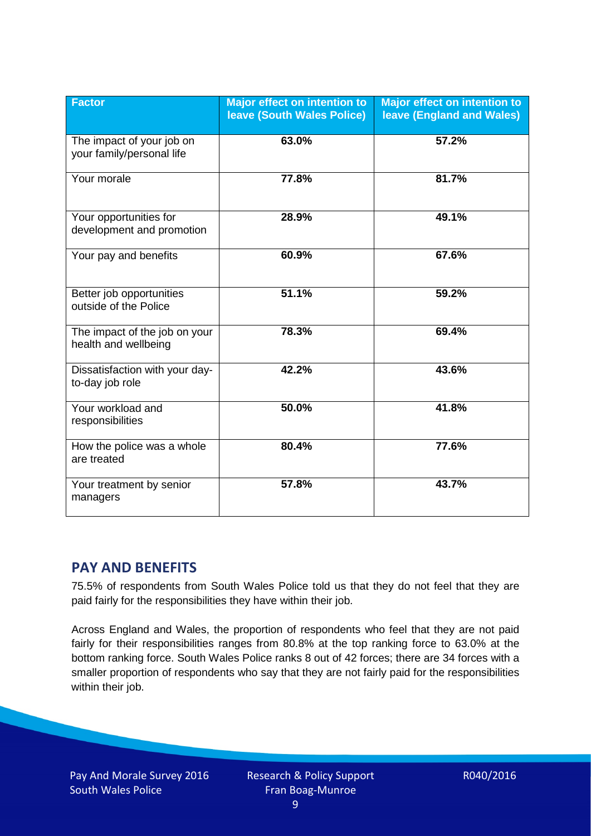| <b>Factor</b>                                          | <b>Major effect on intention to</b><br><b>leave (South Wales Police)</b> | <b>Major effect on intention to</b><br><b>leave (England and Wales)</b> |
|--------------------------------------------------------|--------------------------------------------------------------------------|-------------------------------------------------------------------------|
| The impact of your job on<br>your family/personal life | 63.0%                                                                    | 57.2%                                                                   |
| Your morale                                            | 77.8%                                                                    | 81.7%                                                                   |
| Your opportunities for<br>development and promotion    | 28.9%                                                                    | 49.1%                                                                   |
| Your pay and benefits                                  | 60.9%                                                                    | 67.6%                                                                   |
| Better job opportunities<br>outside of the Police      | 51.1%                                                                    | 59.2%                                                                   |
| The impact of the job on your<br>health and wellbeing  | 78.3%                                                                    | 69.4%                                                                   |
| Dissatisfaction with your day-<br>to-day job role      | 42.2%                                                                    | 43.6%                                                                   |
| Your workload and<br>responsibilities                  | 50.0%                                                                    | 41.8%                                                                   |
| How the police was a whole<br>are treated              | 80.4%                                                                    | 77.6%                                                                   |
| Your treatment by senior<br>managers                   | 57.8%                                                                    | 43.7%                                                                   |

# **PAY AND BENEFITS**

75.5% of respondents from South Wales Police told us that they do not feel that they are paid fairly for the responsibilities they have within their job.

Across England and Wales, the proportion of respondents who feel that they are not paid fairly for their responsibilities ranges from 80.8% at the top ranking force to 63.0% at the bottom ranking force. South Wales Police ranks 8 out of 42 forces; there are 34 forces with a smaller proportion of respondents who say that they are not fairly paid for the responsibilities within their job.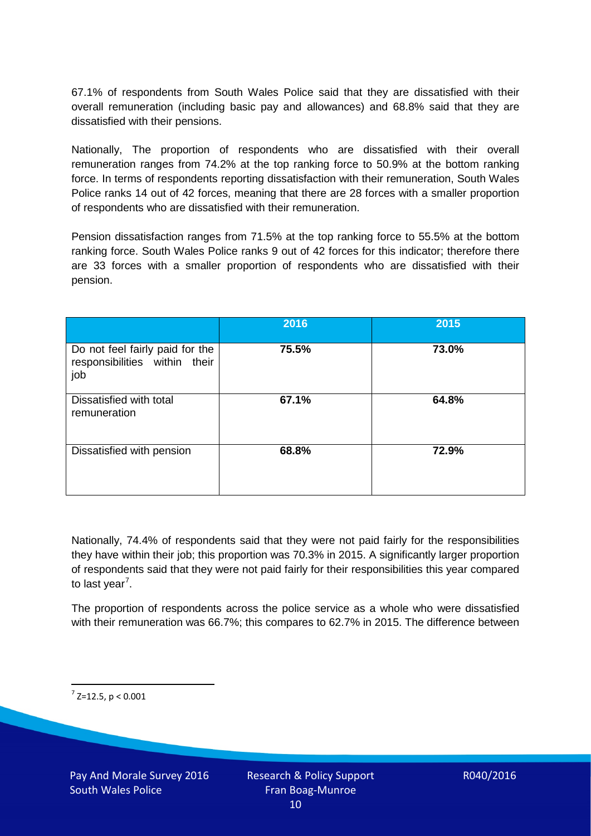67.1% of respondents from South Wales Police said that they are dissatisfied with their overall remuneration (including basic pay and allowances) and 68.8% said that they are dissatisfied with their pensions.

Nationally, The proportion of respondents who are dissatisfied with their overall remuneration ranges from 74.2% at the top ranking force to 50.9% at the bottom ranking force. In terms of respondents reporting dissatisfaction with their remuneration, South Wales Police ranks 14 out of 42 forces, meaning that there are 28 forces with a smaller proportion of respondents who are dissatisfied with their remuneration.

Pension dissatisfaction ranges from 71.5% at the top ranking force to 55.5% at the bottom ranking force. South Wales Police ranks 9 out of 42 forces for this indicator; therefore there are 33 forces with a smaller proportion of respondents who are dissatisfied with their pension.

|                                                                         | 2016  | 2015  |
|-------------------------------------------------------------------------|-------|-------|
| Do not feel fairly paid for the<br>responsibilities within their<br>job | 75.5% | 73.0% |
| Dissatisfied with total<br>remuneration                                 | 67.1% | 64.8% |
| Dissatisfied with pension                                               | 68.8% | 72.9% |

Nationally, 74.4% of respondents said that they were not paid fairly for the responsibilities they have within their job; this proportion was 70.3% in 2015. A significantly larger proportion of respondents said that they were not paid fairly for their responsibilities this year compared to last year<sup>[7](#page-9-0)</sup>.

The proportion of respondents across the police service as a whole who were dissatisfied with their remuneration was 66.7%; this compares to 62.7% in 2015. The difference between

<span id="page-9-0"></span> $7$  Z=12.5, p < 0.001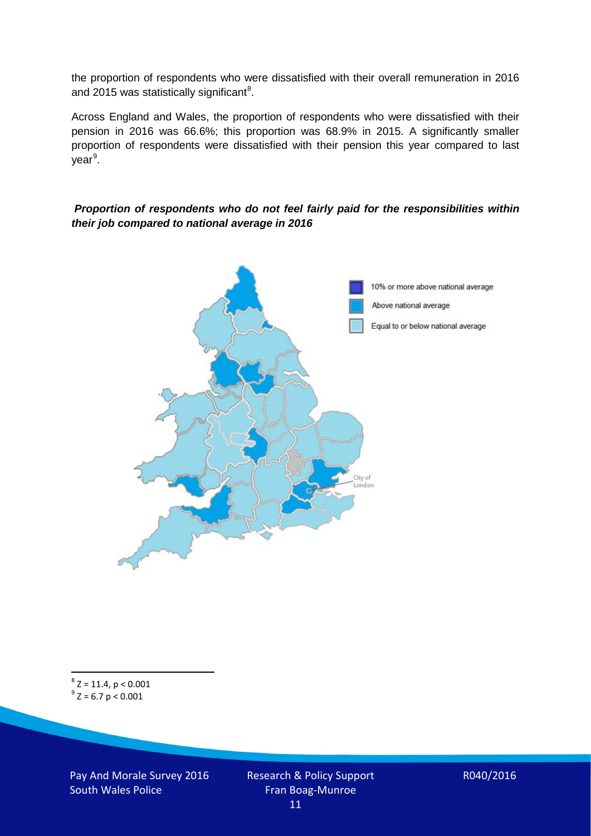the proportion of respondents who were dissatisfied with their overall remuneration in 2016 and 2015 was statistically significant<sup>[8](#page-10-0)</sup>.

Across England and Wales, the proportion of respondents who were dissatisfied with their pension in 2016 was 66.6%; this proportion was 68.9% in 2015. A significantly smaller proportion of respondents were dissatisfied with their pension this year compared to last year<sup>[9](#page-10-1)</sup>.

#### *Proportion of respondents who do not feel fairly paid for the responsibilities within their job compared to national average in 2016*



<span id="page-10-1"></span><span id="page-10-0"></span> ${}^{8}Z = 11.4, p < 0.001$ <br> ${}^{9}Z = 6.7 p < 0.001$